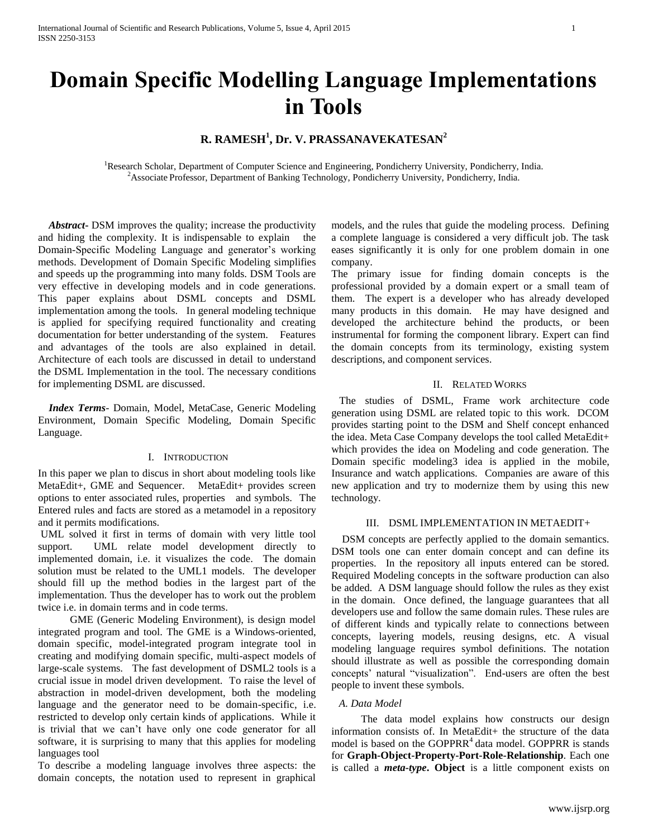# **R. RAMESH<sup>1</sup> , Dr. V. PRASSANAVEKATESAN<sup>2</sup>**

<sup>1</sup>Research Scholar, Department of Computer Science and Engineering, Pondicherry University, Pondicherry, India. <sup>2</sup>Associate Professor, Department of Banking Technology, Pondicherry University, Pondicherry, India.

 *Abstract***-** DSM improves the quality; increase the productivity and hiding the complexity. It is indispensable to explain the Domain-Specific Modeling Language and generator's working methods. Development of Domain Specific Modeling simplifies and speeds up the programming into many folds. DSM Tools are very effective in developing models and in code generations. This paper explains about DSML concepts and DSML implementation among the tools. In general modeling technique is applied for specifying required functionality and creating documentation for better understanding of the system. Features and advantages of the tools are also explained in detail. Architecture of each tools are discussed in detail to understand the DSML Implementation in the tool. The necessary conditions for implementing DSML are discussed.

 *Index Terms*- Domain, Model, MetaCase, Generic Modeling Environment, Domain Specific Modeling, Domain Specific Language.

### I. INTRODUCTION

In this paper we plan to discus in short about modeling tools like MetaEdit+, GME and Sequencer. MetaEdit+ provides screen options to enter associated rules, properties and symbols. The Entered rules and facts are stored as a metamodel in a repository and it permits modifications.

UML solved it first in terms of domain with very little tool support. UML relate model development directly to implemented domain, i.e. it visualizes the code. The domain solution must be related to the UML1 models. The developer should fill up the method bodies in the largest part of the implementation. Thus the developer has to work out the problem twice i.e. in domain terms and in code terms.

 GME (Generic Modeling Environment), is design model integrated program and tool. The GME is a Windows-oriented, domain specific, model-integrated program integrate tool in creating and modifying domain specific, multi-aspect models of large-scale systems. The fast development of DSML2 tools is a crucial issue in model driven development. To raise the level of abstraction in model-driven development, both the modeling language and the generator need to be domain-specific, i.e. restricted to develop only certain kinds of applications. While it is trivial that we can't have only one code generator for all software, it is surprising to many that this applies for modeling languages tool

To describe a modeling language involves three aspects: the domain concepts, the notation used to represent in graphical models, and the rules that guide the modeling process. Defining a complete language is considered a very difficult job. The task eases significantly it is only for one problem domain in one company.

The primary issue for finding domain concepts is the professional provided by a domain expert or a small team of them. The expert is a developer who has already developed many products in this domain. He may have designed and developed the architecture behind the products, or been instrumental for forming the component library. Expert can find the domain concepts from its terminology, existing system descriptions, and component services.

## II. RELATED WORKS

 The studies of DSML, Frame work architecture code generation using DSML are related topic to this work. DCOM provides starting point to the DSM and Shelf concept enhanced the idea. Meta Case Company develops the tool called MetaEdit+ which provides the idea on Modeling and code generation. The Domain specific modeling3 idea is applied in the mobile, Insurance and watch applications. Companies are aware of this new application and try to modernize them by using this new technology.

## III. DSML IMPLEMENTATION IN METAEDIT+

 DSM concepts are perfectly applied to the domain semantics. DSM tools one can enter domain concept and can define its properties. In the repository all inputs entered can be stored. Required Modeling concepts in the software production can also be added. A DSM language should follow the rules as they exist in the domain. Once defined, the language guarantees that all developers use and follow the same domain rules. These rules are of different kinds and typically relate to connections between concepts, layering models, reusing designs, etc. A visual modeling language requires symbol definitions. The notation should illustrate as well as possible the corresponding domain concepts' natural "visualization". End-users are often the best people to invent these symbols.

#### *A. Data Model*

 The data model explains how constructs our design information consists of. In MetaEdit+ the structure of the data model is based on the GOPPRR<sup>4</sup> data model. GOPPRR is stands for **Graph-Object-Property-Port-Role-Relationship**. Each one is called a *meta-type***. Object** is a little component exists on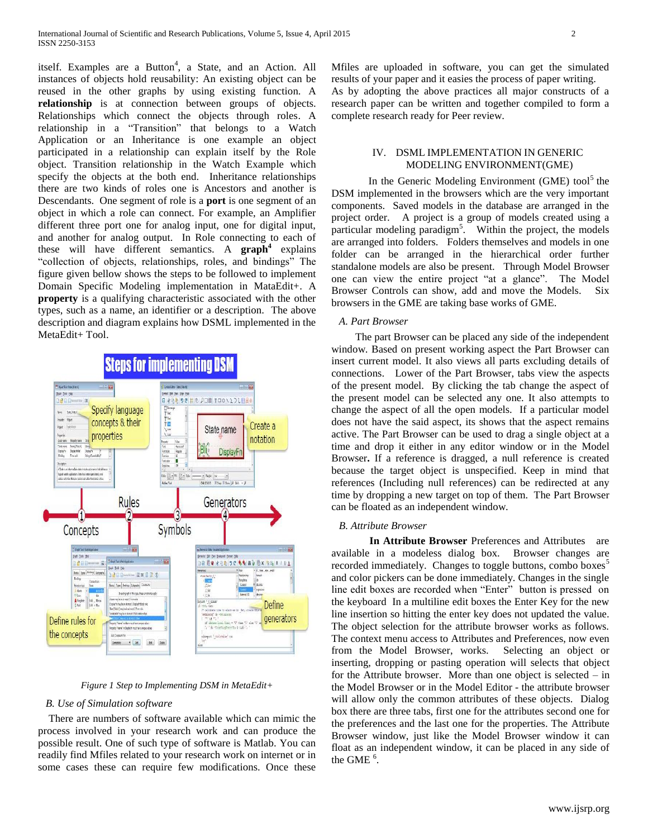itself. Examples are a Button<sup>4</sup>, a State, and an Action. All instances of objects hold reusability: An existing object can be reused in the other graphs by using existing function. A **relationship** is at connection between groups of objects. Relationships which connect the objects through roles. A relationship in a "Transition" that belongs to a Watch Application or an Inheritance is one example an object participated in a relationship can explain itself by the Role object. Transition relationship in the Watch Example which specify the objects at the both end. Inheritance relationships there are two kinds of roles one is Ancestors and another is Descendants. One segment of role is a **port** is one segment of an object in which a role can connect. For example, an Amplifier different three port one for analog input, one for digital input, and another for analog output. In Role connecting to each of these will have different semantics. A **graph<sup>4</sup>** explains "collection of objects, relationships, roles, and bindings" The figure given bellow shows the steps to be followed to implement Domain Specific Modeling implementation in MataEdit+. A **property** is a qualifying characteristic associated with the other types, such as a name, an identifier or a description. The above description and diagram explains how DSML implemented in the MetaEdit+ Tool.



#### *Figure 1 Step to Implementing DSM in MetaEdit+*

#### *B. Use of Simulation software*

 There are numbers of software available which can mimic the process involved in your research work and can produce the possible result. One of such type of software is Matlab. You can readily find Mfiles related to your research work on internet or in some cases these can require few modifications. Once these Mfiles are uploaded in software, you can get the simulated results of your paper and it easies the process of paper writing. As by adopting the above practices all major constructs of a research paper can be written and together compiled to form a complete research ready for Peer review.

### IV. DSML IMPLEMENTATION IN GENERIC MODELING ENVIRONMENT(GME)

In the Generic Modeling Environment (GME) tool<sup>5</sup> the DSM implemented in the browsers which are the very important components. Saved models in the database are arranged in the project order. A project is a group of models created using a particular modeling paradigm<sup>5</sup>. Within the project, the models are arranged into folders. Folders themselves and models in one folder can be arranged in the hierarchical order further standalone models are also be present. Through Model Browser one can view the entire project "at a glance". The Model Browser Controls can show, add and move the Models. Six browsers in the GME are taking base works of GME.

### *A. Part Browser*

 The part Browser can be placed any side of the independent window. Based on present working aspect the Part Browser can insert current model. It also views all parts excluding details of connections. Lower of the Part Browser, tabs view the aspects of the present model. By clicking the tab change the aspect of the present model can be selected any one. It also attempts to change the aspect of all the open models. If a particular model does not have the said aspect, its shows that the aspect remains active. The Part Browser can be used to drag a single object at a time and drop it either in any editor window or in the Model Browser**.** If a reference is dragged, a null reference is created because the target object is unspecified. Keep in mind that references (Including null references) can be redirected at any time by dropping a new target on top of them. The Part Browser can be floated as an independent window.

#### *B. Attribute Browser*

**In Attribute Browser** Preferences and Attributes are available in a modeless dialog box. Browser changes are recorded immediately. Changes to toggle buttons, combo boxes<sup>5</sup> and color pickers can be done immediately. Changes in the single line edit boxes are recorded when "Enter" button is pressed on the keyboard In a multiline edit boxes the Enter Key for the new line insertion so hitting the enter key does not updated the value. The object selection for the attribute browser works as follows. The context menu access to Attributes and Preferences, now even from the Model Browser, works. Selecting an object or inserting, dropping or pasting operation will selects that object for the Attribute browser. More than one object is selected – in the Model Browser or in the Model Editor - the attribute browser will allow only the common attributes of these objects. Dialog box there are three tabs, first one for the attributes second one for the preferences and the last one for the properties. The Attribute Browser window, just like the Model Browser window it can float as an independent window, it can be placed in any side of the GME  $^6$ .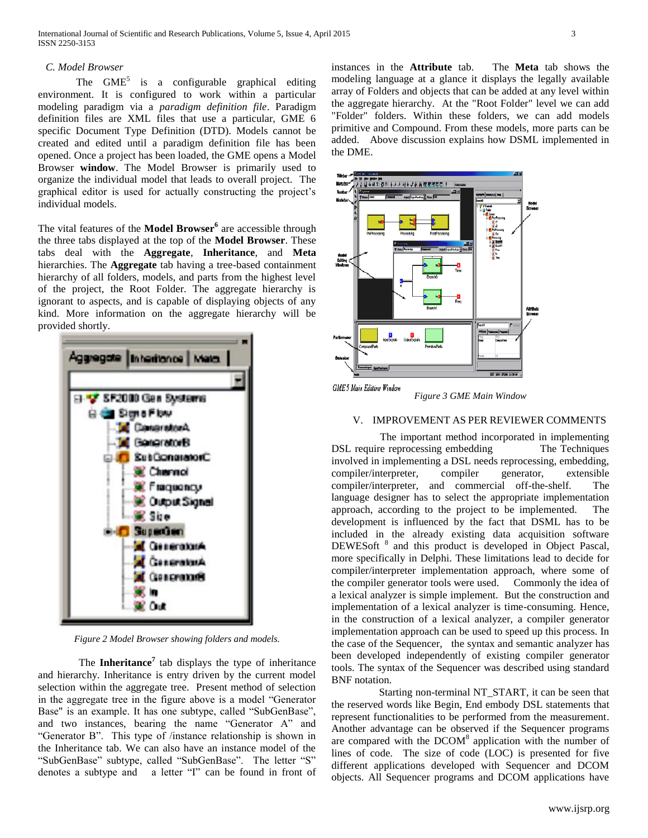#### *C. Model Browser*

The  $GME<sup>5</sup>$  is a configurable graphical editing environment. It is configured to work within a particular modeling paradigm via a *paradigm definition file*. Paradigm definition files are XML files that use a particular, GME 6 specific Document Type Definition (DTD). Models cannot be created and edited until a paradigm definition file has been opened. Once a project has been loaded, the GME opens a Model Browser **window**. The Model Browser is primarily used to organize the individual model that leads to overall project. The graphical editor is used for actually constructing the project's individual models.

The vital features of the **Model Browser<sup>6</sup>** are accessible through the three tabs displayed at the top of the **Model Browser**. These tabs deal with the **Aggregate**, **Inheritance**, and **Meta**  hierarchies. The **Aggregate** tab having a tree-based containment hierarchy of all folders, models, and parts from the highest level of the project, the Root Folder. The aggregate hierarchy is ignorant to aspects, and is capable of displaying objects of any kind. More information on the aggregate hierarchy will be provided shortly.



*Figure 2 Model Browser showing folders and models.*

The **Inheritance<sup>7</sup>** tab displays the type of inheritance and hierarchy. Inheritance is entry driven by the current model selection within the aggregate tree. Present method of selection in the aggregate tree in the figure above is a model "Generator Base" is an example. It has one subtype, called "SubGenBase", and two instances, bearing the name "Generator A" and "Generator B". This type of /instance relationship is shown in the Inheritance tab. We can also have an instance model of the "SubGenBase" subtype, called "SubGenBase". The letter "S" denotes a subtype and a letter "I" can be found in front of

instances in the **Attribute** tab. The **Meta** tab shows the modeling language at a glance it displays the legally available array of Folders and objects that can be added at any level within the aggregate hierarchy. At the "Root Folder" level we can add "Folder" folders. Within these folders, we can add models primitive and Compound. From these models, more parts can be added. Above discussion explains how DSML implemented in the DME.



*Figure 3 GME Main Window*

## V. IMPROVEMENT AS PER REVIEWER COMMENTS

 The important method incorporated in implementing DSL require reprocessing embedding The Techniques involved in implementing a DSL needs reprocessing, embedding, compiler/interpreter, compiler generator, extensible compiler/interpreter, and commercial off-the-shelf. The language designer has to select the appropriate implementation approach, according to the project to be implemented. The development is influenced by the fact that DSML has to be included in the already existing data acquisition software DEWES oft <sup>8</sup> and this product is developed in Object Pascal, more specifically in Delphi. These limitations lead to decide for compiler/interpreter implementation approach, where some of the compiler generator tools were used. Commonly the idea of a lexical analyzer is simple implement. But the construction and implementation of a lexical analyzer is time-consuming. Hence, in the construction of a lexical analyzer, a compiler generator implementation approach can be used to speed up this process. In the case of the Sequencer, the syntax and semantic analyzer has been developed independently of existing compiler generator tools. The syntax of the Sequencer was described using standard BNF notation.

Starting non-terminal NT\_START, it can be seen that the reserved words like Begin, End embody DSL statements that represent functionalities to be performed from the measurement. Another advantage can be observed if the Sequencer programs are compared with the  $DCOM<sup>8</sup>$  application with the number of lines of code. The size of code (LOC) is presented for five different applications developed with Sequencer and DCOM objects. All Sequencer programs and DCOM applications have